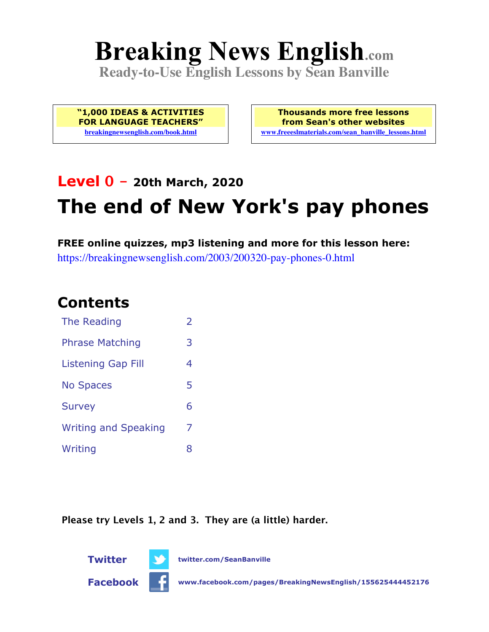# **Breaking News English.com**

**Ready-to-Use English Lessons by Sean Banville**

**"1,000 IDEAS & ACTIVITIES FOR LANGUAGE TEACHERS" breakingnewsenglish.com/book.html**

**Thousands more free lessons from Sean's other websites www.freeeslmaterials.com/sean\_banville\_lessons.html**

## **Level 0 - 20th March, 2020 The end of New York's pay phones**

**FREE online quizzes, mp3 listening and more for this lesson here:** https://breakingnewsenglish.com/2003/200320-pay-phones-0.html

#### **Contents**

| The Reading                 | $\mathcal{P}$ |
|-----------------------------|---------------|
| <b>Phrase Matching</b>      | 3             |
| <b>Listening Gap Fill</b>   | 4             |
| <b>No Spaces</b>            | 5             |
| <b>Survey</b>               | 6             |
| <b>Writing and Speaking</b> | 7             |
| Writing                     | x             |

**Please try Levels 1, 2 and 3. They are (a little) harder.**



**Twitter twitter.com/SeanBanville**

**Facebook www.facebook.com/pages/BreakingNewsEnglish/155625444452176**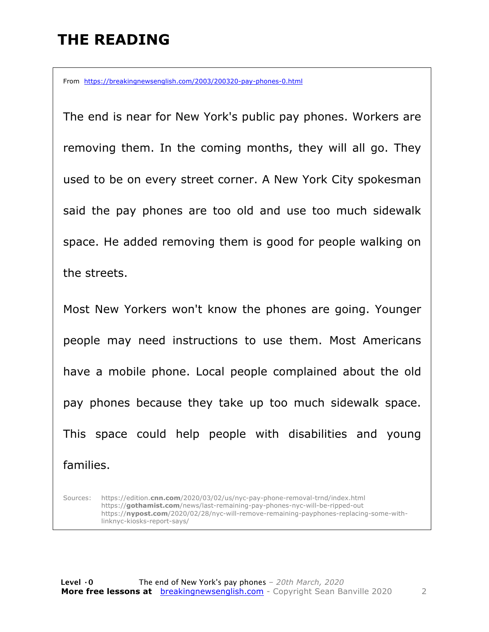#### **THE READING**

From https://breakingnewsenglish.com/2003/200320-pay-phones-0.html

The end is near for New York's public pay phones. Workers are removing them. In the coming months, they will all go. They used to be on every street corner. A New York City spokesman said the pay phones are too old and use too much sidewalk space. He added removing them is good for people walking on the streets.

Most New Yorkers won't know the phones are going. Younger people may need instructions to use them. Most Americans have a mobile phone. Local people complained about the old pay phones because they take up too much sidewalk space. This space could help people with disabilities and young families.

Sources: https://edition.**cnn.com**/2020/03/02/us/nyc-pay-phone-removal-trnd/index.html https://**gothamist.com**/news/last-remaining-pay-phones-nyc-will-be-ripped-out https://**nypost.com**/2020/02/28/nyc-will-remove-remaining-payphones-replacing-some-withlinknyc-kiosks-report-says/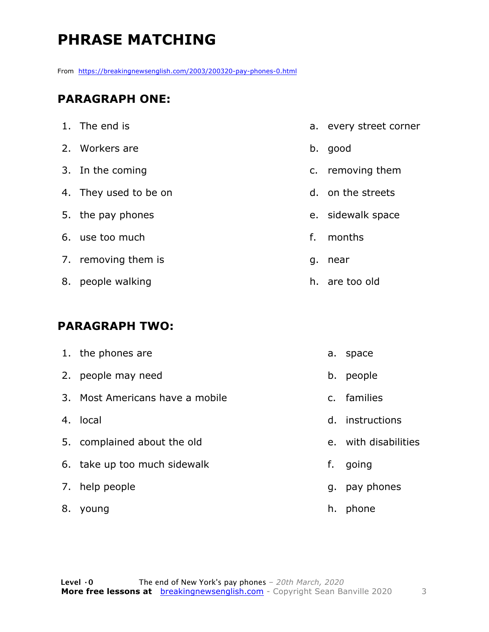### **PHRASE MATCHING**

From https://breakingnewsenglish.com/2003/200320-pay-phones-0.html

#### **PARAGRAPH ONE:**

|    | 1. The end is         |    | a. every street corner |
|----|-----------------------|----|------------------------|
|    | 2. Workers are        | b. | good                   |
|    | 3. In the coming      |    | c. removing them       |
|    | 4. They used to be on |    | d. on the streets      |
|    | 5. the pay phones     |    | e. sidewalk space      |
|    | 6. use too much       | f. | months                 |
|    | 7. removing them is   | g. | near                   |
| 8. | people walking        |    | h. are too old         |

#### **PARAGRAPH TWO:**

|    | 1. the phones are               | a. | space                |
|----|---------------------------------|----|----------------------|
|    | 2. people may need              | b. | people               |
|    | 3. Most Americans have a mobile |    | c. families          |
|    | 4. local                        |    | d. instructions      |
|    | 5. complained about the old     |    | e. with disabilities |
|    | 6. take up too much sidewalk    | f. | going                |
|    | 7. help people                  | q. | pay phones           |
| 8. | young                           | h. | phone                |
|    |                                 |    |                      |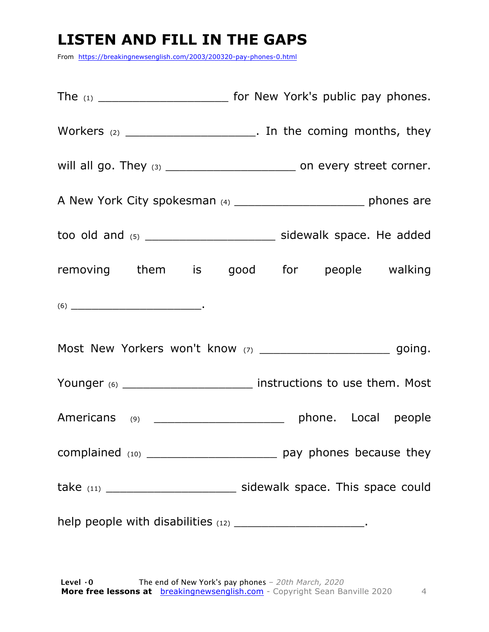#### **LISTEN AND FILL IN THE GAPS**

From https://breakingnewsenglish.com/2003/200320-pay-phones-0.html

| Workers $(2)$ ___________________________. In the coming months, they                                                                                                                                                                                                                                                                                                                                      |  |                     |  |
|------------------------------------------------------------------------------------------------------------------------------------------------------------------------------------------------------------------------------------------------------------------------------------------------------------------------------------------------------------------------------------------------------------|--|---------------------|--|
| will all go. They $(3)$ ________________________________ on every street corner.                                                                                                                                                                                                                                                                                                                           |  |                     |  |
| A New York City spokesman (4) ___________________________ phones are                                                                                                                                                                                                                                                                                                                                       |  |                     |  |
|                                                                                                                                                                                                                                                                                                                                                                                                            |  |                     |  |
| removing them is good for people walking                                                                                                                                                                                                                                                                                                                                                                   |  |                     |  |
| $(6) \begin{tabular}{l} \hline \rule[1em]{1em}{1em} \rule[1em]{1em}{1em} \rule[1em]{1em}{1em} \rule[1em]{1em}{1em} \rule[1em]{1em}{1em} \rule[1em]{1em}{1em} \rule[1em]{1em}{1em} \rule[1em]{1em}{1em} \rule[1em]{1em}{1em} \rule[1em]{1em}{1em} \rule[1em]{1em}{1em} \rule[1em]{1em}{1em} \rule[1em]{1em}{1em} \rule[1em]{1em}{1em} \rule[1em]{1em}{1em} \rule[1em]{1em}{1em} \rule[1em]{1em}{1em} \rule$ |  |                     |  |
| Most New Yorkers won't know (7) __________________________ going.                                                                                                                                                                                                                                                                                                                                          |  |                     |  |
| Younger (6) ________________________ instructions to use them. Most                                                                                                                                                                                                                                                                                                                                        |  |                     |  |
| Americans (9) ________________________                                                                                                                                                                                                                                                                                                                                                                     |  | phone. Local people |  |
|                                                                                                                                                                                                                                                                                                                                                                                                            |  |                     |  |
|                                                                                                                                                                                                                                                                                                                                                                                                            |  |                     |  |
| help people with disabilities (12) __________________________.                                                                                                                                                                                                                                                                                                                                             |  |                     |  |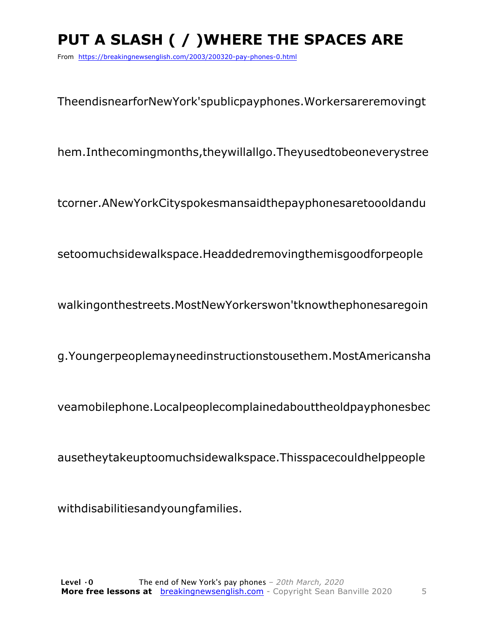## **PUT A SLASH ( / )WHERE THE SPACES ARE**

From https://breakingnewsenglish.com/2003/200320-pay-phones-0.html

TheendisnearforNewYork'spublicpayphones.Workersareremovingt

hem.Inthecomingmonths,theywillallgo.Theyusedtobeoneverystree

tcorner.ANewYorkCityspokesmansaidthepayphonesaretoooldandu

setoomuchsidewalkspace.Headdedremovingthemisgoodforpeople

walkingonthestreets.MostNewYorkerswon'tknowthephonesaregoin

g.Youngerpeoplemayneedinstructionstousethem.MostAmericansha

veamobilephone.Localpeoplecomplainedabouttheoldpayphonesbec

ausetheytakeuptoomuchsidewalkspace.Thisspacecouldhelppeople

withdisabilitiesandyoungfamilies.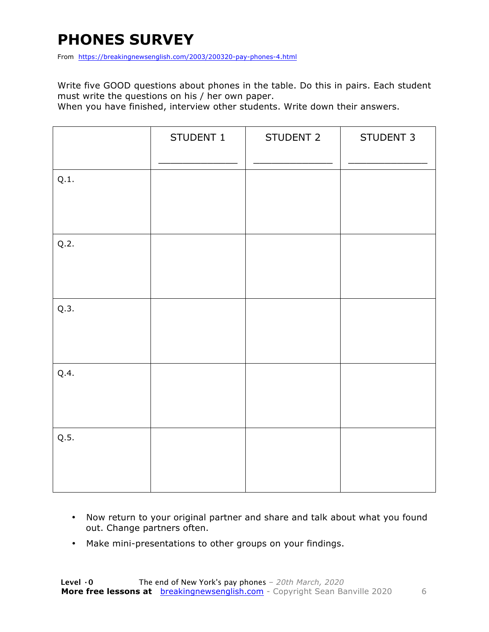#### **PHONES SURVEY**

From https://breakingnewsenglish.com/2003/200320-pay-phones-4.html

Write five GOOD questions about phones in the table. Do this in pairs. Each student must write the questions on his / her own paper.

When you have finished, interview other students. Write down their answers.

|      | STUDENT 1 | STUDENT 2 | STUDENT 3 |
|------|-----------|-----------|-----------|
| Q.1. |           |           |           |
| Q.2. |           |           |           |
| Q.3. |           |           |           |
| Q.4. |           |           |           |
| Q.5. |           |           |           |

- Now return to your original partner and share and talk about what you found out. Change partners often.
- Make mini-presentations to other groups on your findings.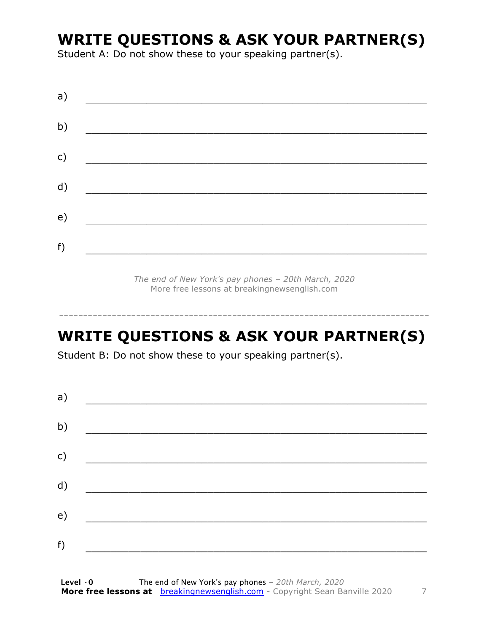#### **WRITE QUESTIONS & ASK YOUR PARTNER(S)**

Student A: Do not show these to your speaking partner(s).

| a) |  |  |
|----|--|--|
| b) |  |  |
| c) |  |  |
| d) |  |  |
| e) |  |  |
| f) |  |  |
|    |  |  |

*The end of New York's pay phones – 20th March, 2020* More free lessons at breakingnewsenglish.com

-----------------------------------------------------------------------------

#### **WRITE QUESTIONS & ASK YOUR PARTNER(S)**

Student B: Do not show these to your speaking partner(s).

| a) |  |  |
|----|--|--|
| b) |  |  |
| c) |  |  |
| d) |  |  |
| e) |  |  |
| f) |  |  |
|    |  |  |